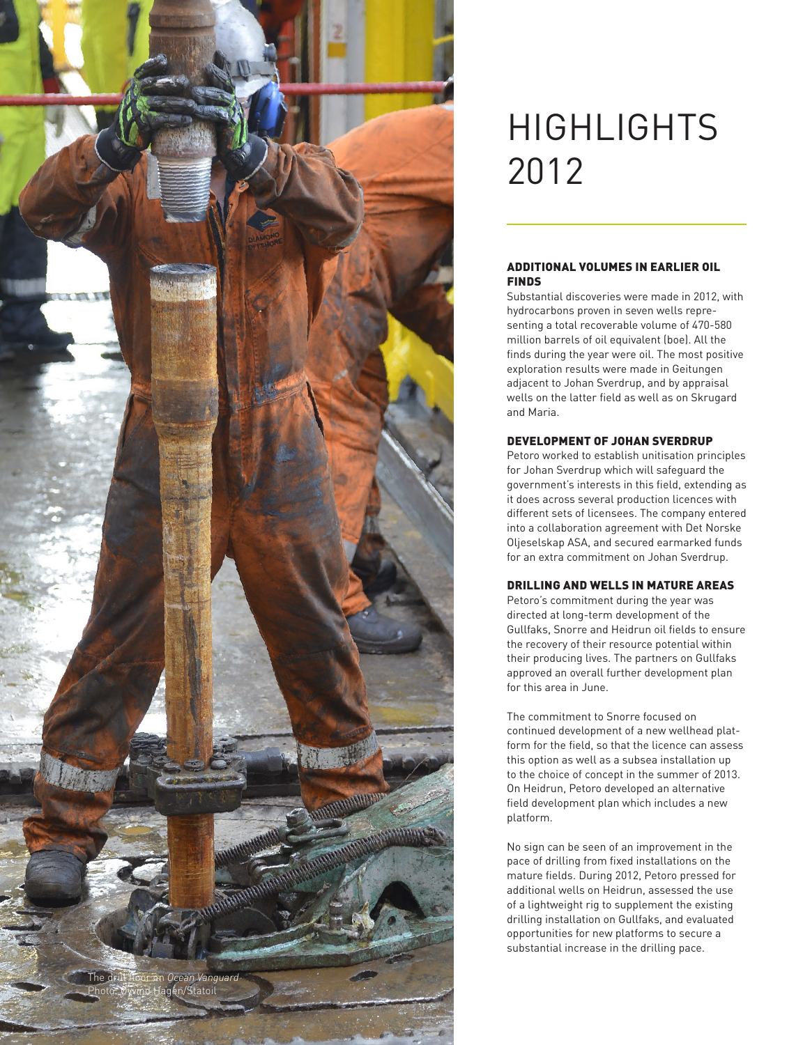

# **HIGHLIGHTS** 2012

#### Additional volumes in earlier oil **FINDS**

Substantial discoveries were made in 2012, with hydrocarbons proven in seven wells representing a total recoverable volume of 470-580 million barrels of oil equivalent (boe). All the finds during the year were oil. The most positive exploration results were made in Geitungen adjacent to Johan Sverdrup, and by appraisal wells on the latter field as well as on Skrugard and Maria.

## Development of Johan Sverdrup

Petoro worked to establish unitisation principles for Johan Sverdrup which will safeguard the government's interests in this field, extending as it does across several production licences with different sets of licensees. The company entered into a collaboration agreement with Det Norske Oljeselskap ASA, and secured earmarked funds for an extra commitment on Johan Sverdrup.

## Drilling and wells in mature areas

Petoro's commitment during the year was directed at long-term development of the Gullfaks, Snorre and Heidrun oil fields to ensure the recovery of their resource potential within their producing lives. The partners on Gullfaks approved an overall further development plan for this area in June.

The commitment to Snorre focused on continued development of a new wellhead platform for the field, so that the licence can assess this option as well as a subsea installation up to the choice of concept in the summer of 2013. On Heidrun, Petoro developed an alternative field development plan which includes a new platform.

No sign can be seen of an improvement in the pace of drilling from fixed installations on the mature fields. During 2012, Petoro pressed for additional wells on Heidrun, assessed the use of a lightweight rig to supplement the existing drilling installation on Gullfaks, and evaluated opportunities for new platforms to secure a substantial increase in the drilling pace.